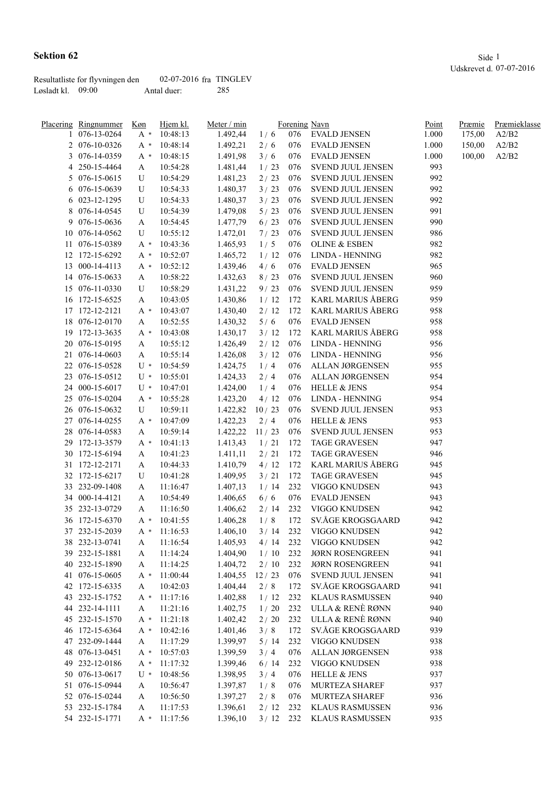|                     | Resultatliste for flyvningen den | $02-07-2016$ fra TINGLEV |       |
|---------------------|----------------------------------|--------------------------|-------|
| Løsladt kl. $09:00$ |                                  | Antal duer:              | - 285 |

|    | Meter / min<br>Placering Ringnummer<br>Køn<br>Hjem kl.<br>Forening Navn |       | Point                | Præmie   | Præmieklasse |     |                          |       |        |       |
|----|-------------------------------------------------------------------------|-------|----------------------|----------|--------------|-----|--------------------------|-------|--------|-------|
|    | 076-13-0264                                                             | $A^*$ | 10:48:13             | 1.492,44 | 1/6          | 076 | EVALD JENSEN             | 1.000 | 175,00 | A2/B2 |
|    | 2 076-10-0326                                                           | $A^*$ | 10:48:14             | 1.492,21 | 2/6          | 076 | <b>EVALD JENSEN</b>      | 1.000 | 150,00 | A2/B2 |
|    | 3 076-14-0359                                                           | A *   | 10:48:15             | 1.491,98 | 3/6          | 076 | <b>EVALD JENSEN</b>      | 1.000 | 100,00 | A2/B2 |
|    | 4 250-15-4464                                                           | A     | 10:54:28             | 1.481,44 | 1/23         | 076 | SVEND JUUL JENSEN        | 993   |        |       |
|    | 5 076-15-0615                                                           | U     | 10:54:29             | 1.481,23 | 2/23         | 076 | SVEND JUUL JENSEN        | 992   |        |       |
|    | 6 076-15-0639                                                           | U     | 10:54:33             | 1.480,37 | 3/23         | 076 | SVEND JUUL JENSEN        | 992   |        |       |
|    | 6 023-12-1295                                                           | U     | 10:54:33             | 1.480,37 | 3/23         | 076 | SVEND JUUL JENSEN        | 992   |        |       |
|    | 8 076-14-0545                                                           | U     | 10:54:39             | 1.479,08 | 5/23         | 076 | SVEND JUUL JENSEN        | 991   |        |       |
|    | 9 076-15-0636                                                           | A     | 10:54:45             | 1.477,79 | $6/23$       | 076 | SVEND JUUL JENSEN        | 990   |        |       |
|    | 10 076-14-0562                                                          | U     | 10:55:12             | 1.472,01 | 7/23         | 076 | SVEND JUUL JENSEN        | 986   |        |       |
|    | 11 076-15-0389                                                          | A *   | 10:43:36             | 1.465,93 | 1/5          | 076 | <b>OLINE &amp; ESBEN</b> | 982   |        |       |
|    | 12 172-15-6292                                                          | A *   | 10:52:07             | 1.465,72 | 1/12         | 076 | LINDA - HENNING          | 982   |        |       |
|    | 13 000-14-4113                                                          | A *   | 10:52:12             | 1.439,46 | 4/6          | 076 | <b>EVALD JENSEN</b>      | 965   |        |       |
|    | 14 076-15-0633                                                          | A     | 10:58:22             | 1.432,63 | 8/23         | 076 | SVEND JUUL JENSEN        | 960   |        |       |
|    | 15 076-11-0330                                                          | U     | 10:58:29             | 1.431,22 | 9/23         | 076 | SVEND JUUL JENSEN        | 959   |        |       |
|    | 16 172-15-6525                                                          | A     | 10:43:05             | 1.430,86 | 1/12         | 172 | KARL MARIUS ÅBERG        | 959   |        |       |
|    | 17 172-12-2121                                                          |       | 10:43:07             | 1.430,40 | 2/12         | 172 | KARL MARIUS ÅBERG        | 958   |        |       |
| 18 | 076-12-0170                                                             | A *   | 10:52:55             |          | 5/6          | 076 | <b>EVALD JENSEN</b>      | 958   |        |       |
|    | 19 172-13-3635                                                          | A     |                      | 1.430,32 |              | 172 | KARL MARIUS ÅBERG        | 958   |        |       |
|    | 20 076-15-0195                                                          | A *   | 10:43:08<br>10:55:12 | 1.430,17 | 3/12<br>2/12 | 076 | <b>LINDA - HENNING</b>   | 956   |        |       |
|    |                                                                         | A     |                      | 1.426,49 |              |     |                          |       |        |       |
|    | 21 076-14-0603                                                          | A     | 10:55:14             | 1.426,08 | 3/12         | 076 | LINDA - HENNING          | 956   |        |       |
|    | 22 076-15-0528                                                          | $U^*$ | 10:54:59             | 1.424,75 | 1/4          | 076 | ALLAN JØRGENSEN          | 955   |        |       |
|    | 23 076-15-0512                                                          | U *   | 10:55:01             | 1.424,33 | 2/4          | 076 | ALLAN JØRGENSEN          | 954   |        |       |
|    | 24 000-15-6017                                                          | $U^*$ | 10:47:01             | 1.424,00 | 1/4          | 076 | <b>HELLE &amp; JENS</b>  | 954   |        |       |
|    | 25 076-15-0204                                                          | A *   | 10:55:28             | 1.423,20 | 4/12         | 076 | LINDA - HENNING          | 954   |        |       |
|    | 26 076-15-0632                                                          | U     | 10:59:11             | 1.422,82 | 10/23        | 076 | SVEND JUUL JENSEN        | 953   |        |       |
| 27 | 076-14-0255                                                             | A *   | 10:47:09             | 1.422,23 | 2/4          | 076 | <b>HELLE &amp; JENS</b>  | 953   |        |       |
| 28 | 076-14-0583                                                             | A     | 10:59:14             | 1.422,22 | 11/23        | 076 | SVEND JUUL JENSEN        | 953   |        |       |
| 29 | 172-13-3579                                                             | $A^*$ | 10:41:13             | 1.413,43 | 1/21         | 172 | <b>TAGE GRAVESEN</b>     | 947   |        |       |
|    | 30 172-15-6194                                                          | A     | 10:41:23             | 1.411,11 | 2/21         | 172 | <b>TAGE GRAVESEN</b>     | 946   |        |       |
|    | 31 172-12-2171                                                          | A     | 10:44:33             | 1.410,79 | 4/12         | 172 | KARL MARIUS ÅBERG        | 945   |        |       |
|    | 32 172-15-6217                                                          | U     | 10:41:28             | 1.409,95 | 3/21         | 172 | <b>TAGE GRAVESEN</b>     | 945   |        |       |
|    | 33 232-09-1408                                                          | A     | 11:16:47             | 1.407,13 | 1/14         | 232 | VIGGO KNUDSEN            | 943   |        |       |
|    | 34 000-14-4121                                                          | A     | 10:54:49             | 1.406,65 | 6/6          | 076 | <b>EVALD JENSEN</b>      | 943   |        |       |
|    | 35 232-13-0729                                                          | A     | 11:16:50             | 1.406,62 | 2/14         | 232 | VIGGO KNUDSEN            | 942   |        |       |
|    | 36 172-15-6370                                                          | A *   | 10:41:55             | 1.406,28 | 1/8          | 172 | SV.ÅGE KROGSGAARD        | 942   |        |       |
|    | 37 232-15-2039                                                          |       | $A * 11:16:53$       | 1.406,10 | $3/14$ 232   |     | VIGGO KNUDSEN            | 942   |        |       |
|    | 38 232-13-0741                                                          | A     | 11:16:54             | 1.405,93 | 4/14         | 232 | VIGGO KNUDSEN            | 942   |        |       |
|    | 39 232-15-1881                                                          | A     | 11:14:24             | 1.404,90 | 1/10         | 232 | <b>JØRN ROSENGREEN</b>   | 941   |        |       |
|    | 40 232-15-1890                                                          | A     | 11:14:25             | 1.404,72 | 2/10         | 232 | <b>JØRN ROSENGREEN</b>   | 941   |        |       |
|    | 41 076-15-0605                                                          | A *   | 11:00:44             | 1.404,55 | 12/23        | 076 | SVEND JUUL JENSEN        | 941   |        |       |
|    | 42 172-15-6335                                                          | A     | 10:42:03             | 1.404,44 | 2/8          | 172 | SV.ÅGE KROGSGAARD        | 941   |        |       |
|    | 43 232-15-1752                                                          | $A^*$ | 11:17:16             | 1.402,88 | 1/12         | 232 | <b>KLAUS RASMUSSEN</b>   | 940   |        |       |
|    | 44 232-14-1111                                                          | A     | 11:21:16             | 1.402,75 | 1/20         | 232 | ULLA & RENÈ RØNN         | 940   |        |       |
|    | 45 232-15-1570                                                          | $A^*$ | 11:21:18             | 1.402,42 | $2/20$       | 232 | ULLA & RENÈ RØNN         | 940   |        |       |
|    | 46 172-15-6364                                                          | $A^*$ | 10:42:16             | 1.401,46 | 3/8          | 172 | SV.ÅGE KROGSGAARD        | 939   |        |       |
|    | 47 232-09-1444                                                          | A     | 11:17:29             | 1.399,97 | 5/14         | 232 | VIGGO KNUDSEN            | 938   |        |       |
| 48 | 076-13-0451                                                             | $A^*$ | 10:57:03             | 1.399,59 | 3/4          | 076 | ALLAN JØRGENSEN          | 938   |        |       |
| 49 | 232-12-0186                                                             | A *   | 11:17:32             | 1.399,46 | 6/14         | 232 | VIGGO KNUDSEN            | 938   |        |       |
|    | 50 076-13-0617                                                          | U *   | 10:48:56             | 1.398,95 | 3/4          | 076 | <b>HELLE &amp; JENS</b>  | 937   |        |       |
|    | 51 076-15-0944                                                          | A     | 10:56:47             | 1.397,87 | 1/8          | 076 | MURTEZA SHAREF           | 937   |        |       |
|    | 52 076-15-0244                                                          |       | 10:56:50             | 1.397,27 | 2/8          | 076 | MURTEZA SHAREF           | 936   |        |       |
|    |                                                                         | A     |                      |          |              |     |                          |       |        |       |
|    | 53 232-15-1784                                                          | A     | 11:17:53             | 1.396,61 | 2/12         | 232 | <b>KLAUS RASMUSSEN</b>   | 936   |        |       |
|    | 54 232-15-1771                                                          | $A^*$ | 11:17:56             | 1.396,10 | 3/12         | 232 | <b>KLAUS RASMUSSEN</b>   | 935   |        |       |